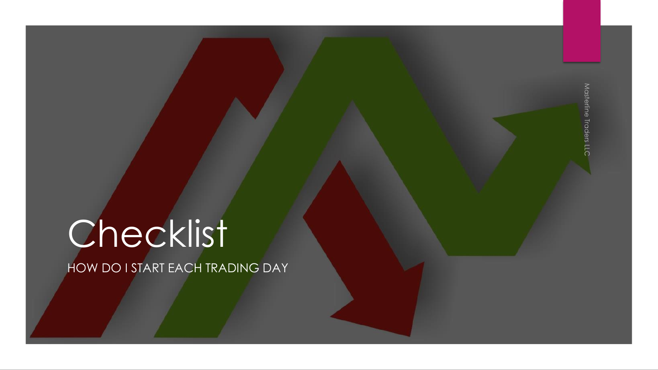# Checklist

HOW DO I START EACH TRADING DAY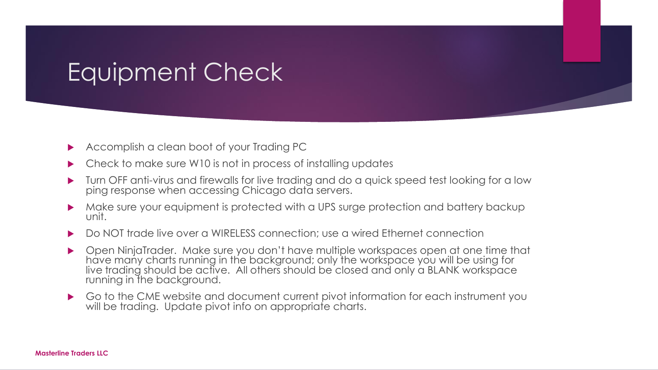### Equipment Check

- Accomplish a clean boot of your Trading PC
- Check to make sure W10 is not in process of installing updates
- Turn OFF anti-virus and firewalls for live trading and do a quick speed test looking for a low ping response when accessing Chicago data servers.
- Make sure your equipment is protected with a UPS surge protection and battery backup unit.
- Do NOT trade live over a WIRELESS connection; use a wired Ethernet connection
- Open NinjaTrader. Make sure you don't have multiple workspaces open at one time that have many charts running in the background; only the workspace you will be using for live trading should be active. All others should be closed and only a BLANK workspace running in the background.
- Go to the CME website and document current pivot information for each instrument you will be trading. Update pivot info on appropriate charts.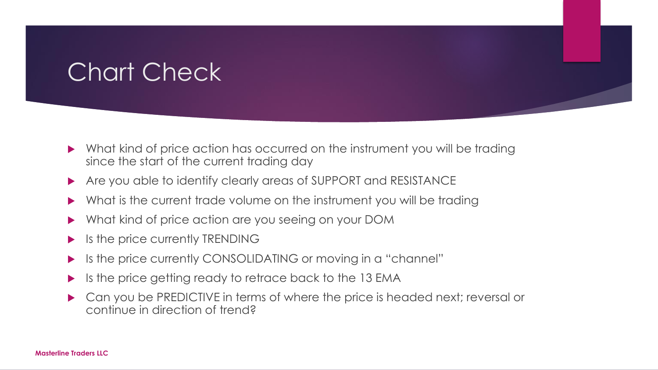## Chart Check

- What kind of price action has occurred on the instrument you will be trading since the start of the current trading day
- Are you able to identify clearly areas of SUPPORT and RESISTANCE
- What is the current trade volume on the instrument you will be trading
- What kind of price action are you seeing on your DOM
- $\blacktriangleright$  Is the price currently TRENDING
- If its the price currently CONSOLIDATING or moving in a "channel"
- Is the price getting ready to retrace back to the 13 EMA
- Can you be PREDICTIVE in terms of where the price is headed next; reversal or continue in direction of trend?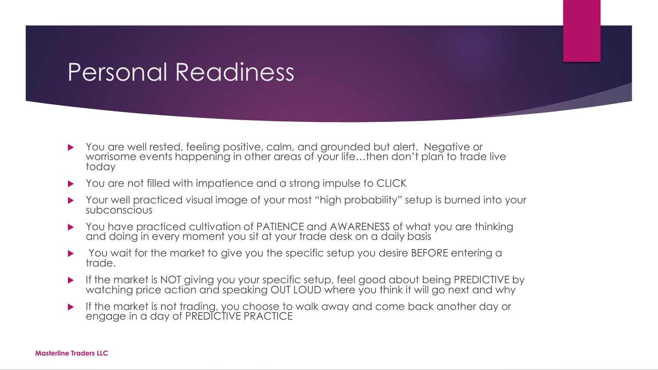#### Personal Readiness

- You are well rested, feeling positive, calm, and grounded but alert. Negative or worrisome events happening in other areas of your life…then don't plan to trade live today
- ▶ You are not filled with impatience and a strong impulse to CLICK
- Your well practiced visual image of your most "high probability" setup is burned into your subconscious
- ▶ You have practiced cultivation of PATIENCE and AWARENESS of what you are thinking and doing in every moment you sit at your trade desk on a daily basis
- You wait for the market to give you the specific setup you desire BEFORE entering a trade.
- If the market is NOT giving you your specific setup, feel good about being PREDICTIVE by watching price action and speaking OUT LOUD where you think it will go next and why
- If the market is not trading, you choose to walk away and come back another day or engage in a day of PREDICTIVE PRACTICE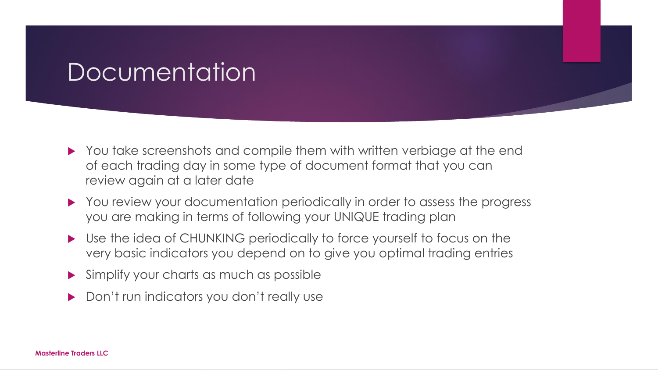#### Documentation

- ▶ You take screenshots and compile them with written verbiage at the end of each trading day in some type of document format that you can review again at a later date
- You review your documentation periodically in order to assess the progress you are making in terms of following your UNIQUE trading plan
- Use the idea of CHUNKING periodically to force yourself to focus on the very basic indicators you depend on to give you optimal trading entries
- Simplify your charts as much as possible
- Don't run indicators you don't really use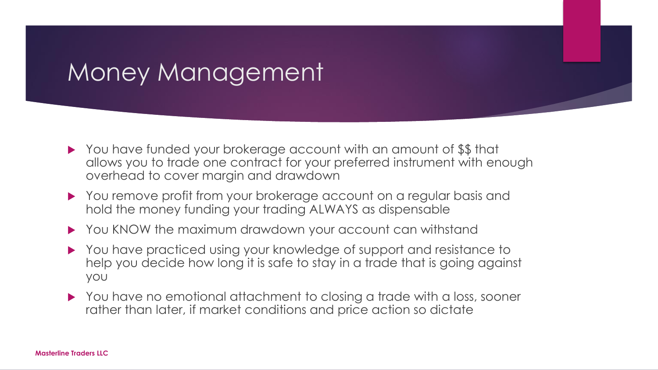#### Money Management

- ▶ You have funded your brokerage account with an amount of \$\$ that allows you to trade one contract for your preferred instrument with enough overhead to cover margin and drawdown
- You remove profit from your brokerage account on a regular basis and hold the money funding your trading ALWAYS as dispensable
- ▶ You KNOW the maximum drawdown your account can withstand
- ▶ You have practiced using your knowledge of support and resistance to help you decide how long it is safe to stay in a trade that is going against you
- ▶ You have no emotional attachment to closing a trade with a loss, sooner rather than later, if market conditions and price action so dictate